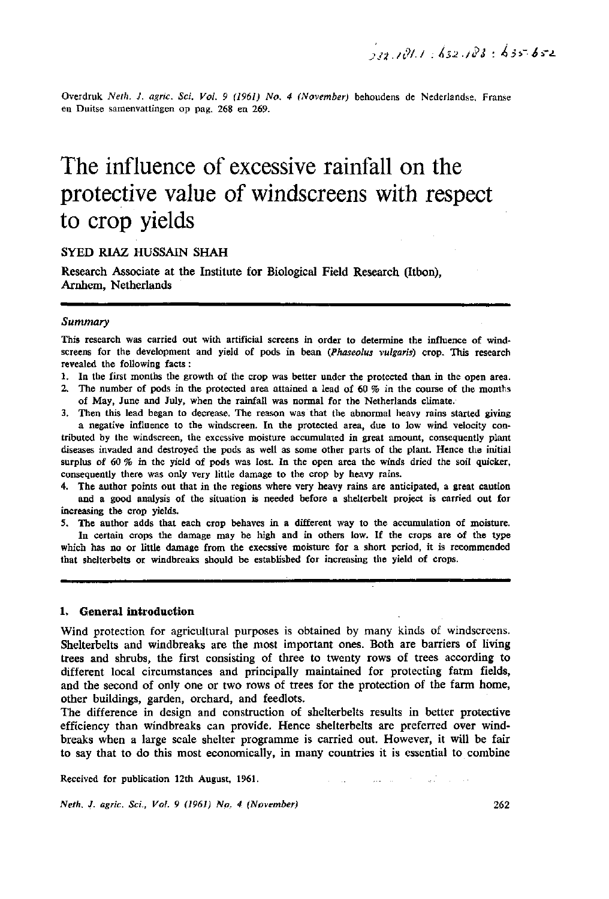Overdruk *Neth. J. agric. Sei. Vol. 9 (1961) No. 4 (November)* behoudens de Nederlandse, Franse en Duitse samenvattingen op pag. 268 en 269.

# The influence of excessive rainfall on the protective value of windscreens with respect to crop yields

## SYED RIAZ HUSSAIN SHAH

Research Associate at the Institute for Biological Field Research (Itbon), Arnhem, Netherlands

## *Summary*

This research was carried out with artificial screens in order to determine the influence of windscreens for the development and yield of pods in bean *(Phaseolus vulgaris)* crop. This research revealed the following facts :

- 1. In the first months the growth of the crop was better under the protected than in the open area.
- 2. The number of pods in the protected area attained a lead of 60 *%* in the course of the months of May, June and July, when the rainfall was normal for the Netherlands climate.
- 3. Then this lead began to decrease. The reason was that the abnormal heavy rains started giving a negative influence to the windscreen. In the protected area, due to low wind velocity contributed by the windscreen, the excessive moisture accumulated in great amount, consequently plant diseases invaded and destroyed the pods as well as some other parts of the plant. Hence the initial surplus of 60 % in the yield of pods was lost. In the open area the winds dried the soil quicker,

consequently there was only very little damage to the crop by heavy rains. 4. The author points out that in the regions where very heavy rains are anticipated, a great caution

and a good analysis of the situation is needed before a shelterbelt project is carried out for increasing the crop yields.

5. The author adds that each crop behaves in a different way to the accumulation of moisture. In certain crops the damage may be high and in others low. If the crops are of the type which has no or little damage from the execssive moisture for a short period, it is recommended that shelterbelts or windbreaks should be established for increasing the yield of crops.

#### **1. General introduction**

Wind protection for agricultural purposes is obtained by many kinds of windscreens. Shelterbelts and windbreaks are the most important ones. Both are barriers of living trees and shrubs, the first consisting of three to twenty rows of trees according to different local circumstances and principally maintained for protecting farm fields, and the second of only one or two rows of trees for the protection of the farm home, other buildings, garden, orchard, and feedlots.

The difference in design and construction of shelterbelts results in better protective efficiency than windbreaks can provide. Hence shelterbelts are preferred over windbreaks when a large scale shelter programme is carried out. However, it will be fair to say that to do this most economically, in many countries it is essential to combine

Received for publication 12th August, 1961.

*Neth. J. agric. Sci., Vol. 9 (1961) No. 4 (November)* 

الموادي والأنهار والمحارب المتواصل والمتوارد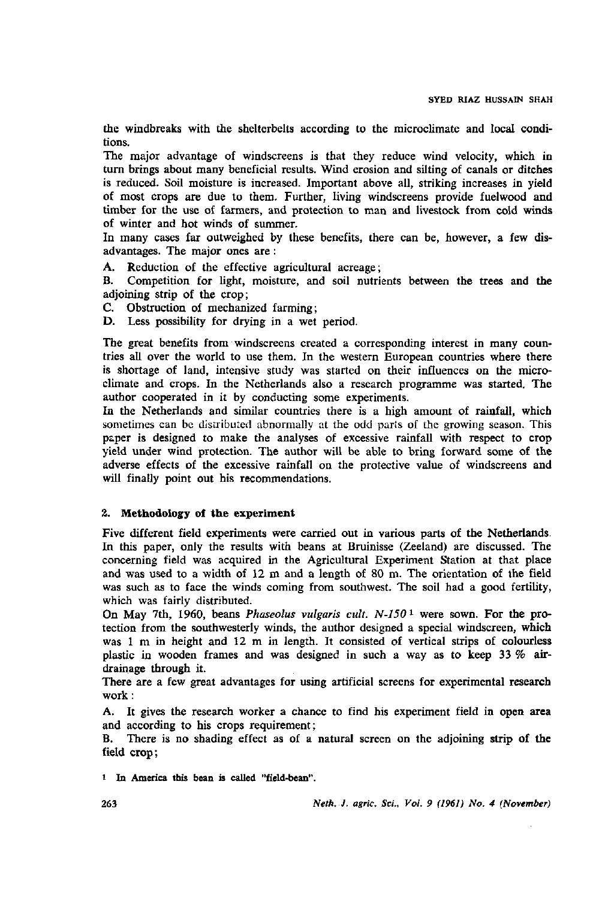the windbreaks with the shelterbelts according to the microclimate and local conditions.

The major advantage of windscreens is that they reduce wind velocity, which in turn brings about many beneficial results. Wind erosion and silting of canals or ditches is reduced. Soil moisture is increased. Important above all, striking increases in yield of most crops are due to them. Further, living windscreens provide fuelwood and timber for the use of farmers, and protection to man and livestock from cold winds of winter and hot winds of summer.

In many cases far outweighed by these benefits, there can be, however, a few disadvantages. The major ones are :

A. Reduction of the effective agricultural acreage;

B. Competition for light, moisture, and soil nutrients between the trees and **the**  adjoining strip of the crop;

- C. Obstruction of mechanized farming;
- D. Less possibility for drying in a wet period.

The great benefits from windscreens created a corresponding interest in many countries all over the world to use them. In the western European countries where there is shortage of land, intensive study was started on their influences on the microclimate and crops. In the Netherlands also a research programme was started. The author cooperated in it by conducting some experiments.

In the Netherlands and similar countries there is a high amount of rainfall, which sometimes can be distributed abnormally at the odd parts of the growing season. This paper is designed to make the analyses of excessive rainfall with respect to crop yield under wind protection. The author will be able to bring forward some of the adverse effects of the excessive rainfall on the protective value of windscreens and will finally point out his recommendations.

### 2. **Methodology of the experiment**

Five different field experiments were carried out in various parts of the Netherlands. In this paper, only the results with beans at Bruinisse (Zeeland) are discussed. The concerning field was acquired in the Agricultural Experiment Station at that place and was used to a width of 12 m and a length of 80 m. The orientation of the field was such as to face the winds coming from southwest. The soil had a good fertility, which was fairly distributed.

On May 7th, 1960, beans *Phaseolus vulgaris cult.* N-150<sup>1</sup> were sown. For the protection from the southwesterly winds, the author designed a special windscreen, which was 1 m in height and 12 m in length. It consisted of vertical strips of colourless plastic in wooden frames and was designed in such a way as to keep 33 % **air**drainage through it.

There are a few great advantages for using artificial screens for experimental research work :

A. It gives the research worker a chance to find his experiment field in open **area**  and according to his crops requirement;

B. There is no shading effect as of a natural screen on the adjoining strip of **the**  field **crop;** 

i In America this bean is called "field-bean".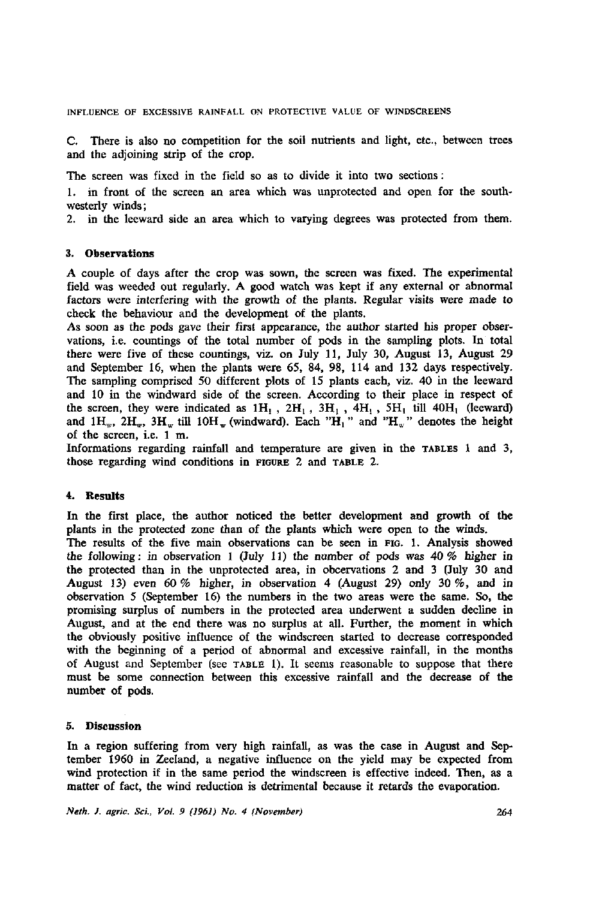INFLUENCE OF EXCESSIVE RAINFALL ON PROTECTIVE VALUE OF WINDSCREENS

C. There is also no competition for the soil nutrients and light, etc., between trees and the adjoining strip of the crop.

The screen was fixed in the field so as to divide it into two sections :

1. in front of the screen an area which was unprotected and open for the southwesterly winds;

2. in the leeward side an area which to varying degrees was protected from them.

#### 3. Observations

A couple of days after the crop was sown, the screen was fixed. The experimental field was weeded out regularly. A good watch was kept if any external or abnormal factors were interfering with the growth of the plants. Regular visits were made to check the behaviour and the development of the plants.

As soon as the pods gave their first appearance, the author started his proper observations, i.e. countings of the total number of pods in the sampling plots. In total there were five of these countings, viz. on July 11, July 30, August 13, August 29 and September 16, when the plants were 65, 84, 98, 114 and 132 days respectively. The sampling comprised 50 different plots of 15 plants each, viz. 40 in the leeward and 10 in the windward side of the screen. According to their place in respect of the screen, they were indicated as  $1H_1$ ,  $2H_1$ ,  $3H_1$ ,  $4H_1$ ,  $5H_1$  till  $40H_1$  (leeward) and  $1H_w$ ,  $2H_w$ ,  $3H_w$  till  $10H_w$  (windward). Each " $H_1$ " and " $H_w$ " denotes the height of the screen, i.e. 1 m.

Informations regarding rainfall and temperature are given in the TABLES 1 and 3, those regarding wind conditions in FIGURE 2 and TABLE 2.

## 4. Results

In the first place, the author noticed the better development and growth of the plants in the protected zone than of the plants which were open to the winds. The results of the five main observations can be seen in FIG. 1. Analysis showed the following: in observation 1 (July 11) the number of pods was  $40\%$  higher in the protected than in the unprotected area, in obcervations 2 and 3 (July 30 and August 13) even 60 % higher, in observation 4 (August 29) only 30 %, and in observation 5 (September 16) the numbers in the two areas were the same. So, the promising surplus of numbers in the protected area underwent a sudden decline in August, and at the end there was no surplus at all. Further, the moment in which the obviously positive influence of the windscreen started to decrease corresponded with the beginning of a period of abnormal and excessive rainfall, in the months of August and September (see TABLE 1). It seems reasonable to suppose that there must be some connection between this excessive rainfall and the decrease of the number of pods.

### 5. Discussion

In a region suffering from very high rainfall, as was the case in August and September 1960 in Zeeland, a negative influence on the yield may be expected from wind protection if in the same period the windscreen is effective indeed. Then, as a matter of fact, the wind reduction is detrimental because it retards the evaporation.

*Neth. J. agric. Sci., Vol. 9 (1961) No. 4 (November)*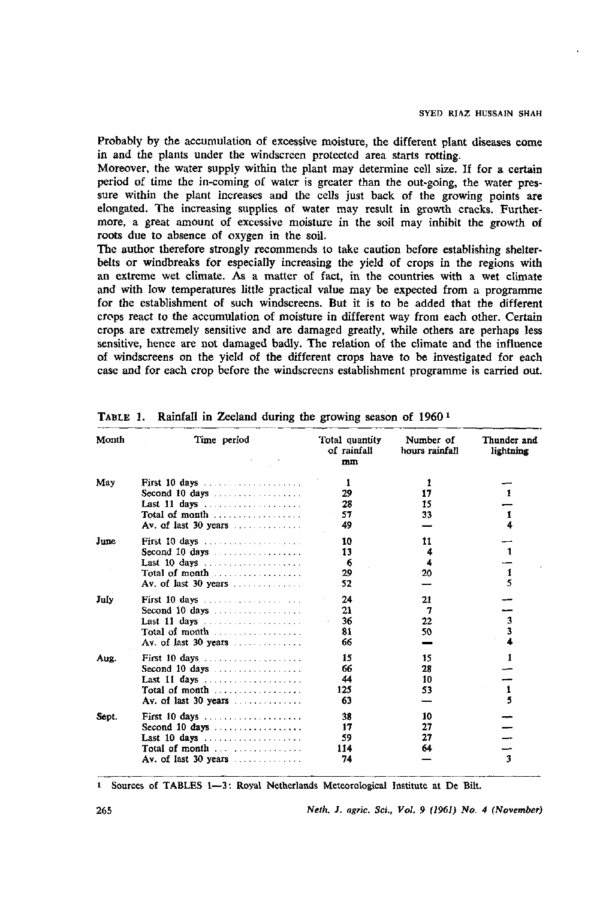Probably by the accumulation of excessive moisture, the different plant diseases come in and the plants under the windscreen protected area starts rotting.

Moreover, the water supply within the plant may determine cell size. If for a certain period of time the in-coming of water is greater than the out-going, the water pressure within the plant increases and the cells just back of the growing points are elongated. The increasing supplies of water may result in growth cracks. Furthermore, a great amount of excessive moisture in the soil may inhibit the growth of roots due to absence of oxygen in the soil.

The author therefore strongly recommends to take caution before establishing shelterbelts or windbreaks for especially increasing the yield of crops in the regions with an extreme wet climate. As a matter of fact, in the countries with a wet climate and with low temperatures little practical value may be expected from a programme for the establishment of such windscreens. But it is to be added that the different crops react to the accumulation of moisture in different way from each other. Certain crops are extremely sensitive and are damaged greatly, while others are perhaps less sensitive, hence are not damaged badly. The relation of the climate and the influence of windscreens on the yield of the different crops have to be investigated for each case and for each crop before the windscreens establishment programme is carried out.

| Month | Time period                                              | Total quantity<br>of rainfall<br>mm | Number of<br>hours rainfall | Thunder and<br>lightning |
|-------|----------------------------------------------------------|-------------------------------------|-----------------------------|--------------------------|
| May   |                                                          | ı                                   |                             |                          |
|       | Second 10 days $\ldots$ ,                                | 29                                  | 17                          |                          |
|       | Last 11 days $\dots \dots \dots \dots \dots \dots$       | 28                                  | 15                          |                          |
|       | Total of month $\ldots$ , $\ldots$                       | 57                                  | 33                          | 1                        |
|       | Av. of last $30$ years                                   | 49                                  |                             |                          |
| June  |                                                          | 10                                  | 11                          |                          |
|       |                                                          | 13                                  | 4                           |                          |
|       | Last 10 days $\ldots \ldots \ldots \ldots \ldots$        | 6                                   | 4                           |                          |
|       | Total of month $\ldots$ , $\ldots$                       | 29                                  | 20                          | 1                        |
|       |                                                          | 52                                  |                             |                          |
| July  | First 10 days $\ldots \ldots \ldots \ldots \ldots$       | 24                                  | 21                          |                          |
|       | Second 10 days $\ldots$ $\ldots$ $\ldots$                | 21                                  | 7                           |                          |
|       |                                                          | 36                                  | 22                          | 3                        |
|       | Total of month                                           | 81                                  | 50                          | 3                        |
|       |                                                          | 66                                  |                             |                          |
| Aux.  | First 10 days $\ldots \ldots \ldots \ldots \ldots$       | 15                                  | 15                          | 1                        |
|       |                                                          | 66                                  | 28                          |                          |
|       | Last 11 days $\ldots \ldots \ldots \ldots \ldots \ldots$ | 44                                  | 10                          |                          |
|       | Total of month $\ldots$ , $\ldots$ , $\ldots$            | 125                                 | 53                          | 1                        |
|       |                                                          | 63                                  |                             | 5                        |
| Sept. | First 10 days                                            | 38                                  | 10                          |                          |
|       | Second 10 days $\ldots \ldots \ldots \ldots \ldots$      | 17                                  | 27                          |                          |
|       | Last 10 days $\ldots \ldots \ldots \ldots \ldots$        | 59                                  | 27                          |                          |
|       | Total of month $\ldots$ $\ldots$ $\ldots$                | 114                                 | 64                          |                          |
|       |                                                          | 74                                  |                             | $\overline{\mathbf{3}}$  |

TABLE 1. Rainfall in Zeeland during the growing season of I960 <sup>1</sup>

i Sources of TABLES 1—3: Royal Netherlands Meteorological Institute at De Bilt.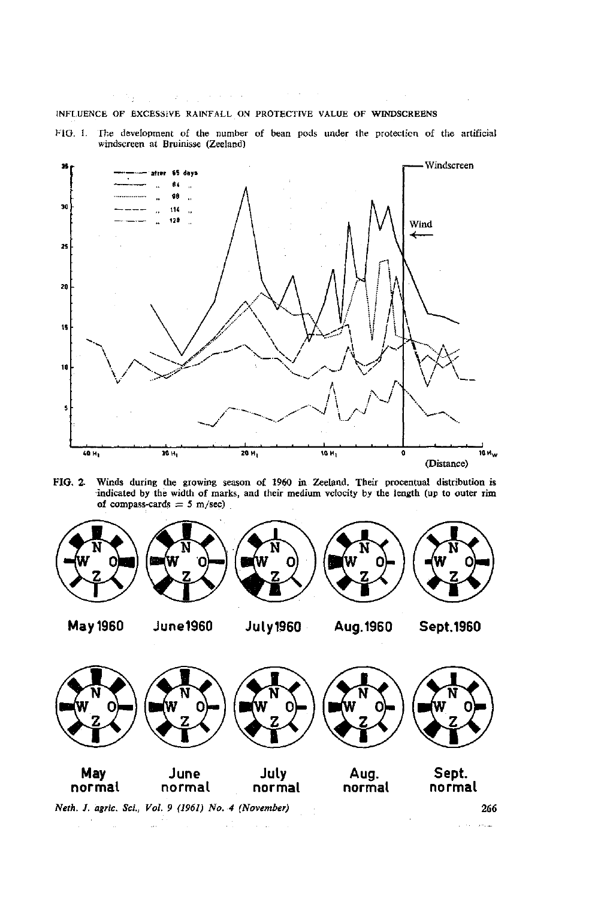#### INFLUENCE OF EXCESSIVE RAINFALL ON PROTECTIVE VALUE OF WINDSCREENS

机解 医阿米亚氏综合征

FIG. I. The development of the number of bean pods under the protection of the artificial windscreen at Bruinisse (Zeeland)

 $\sim 10^{11}$  km



**FIG.** 2. Winds during the growing season of 1960 in Zeeland. Their procentual distribution is indicated by the width of marks, and their medium velocity by the length (up to outer **rim**  of compass-cards  $= 5$  m/sec)



 $\sim$   $\sim$ 

*Neth. J. agric. Sei., Vol. 9 (1961) No. 4 (November)* **266** 

 $\tau_{\rm eff}$  , and  $\tau_{\rm eff}$  , we can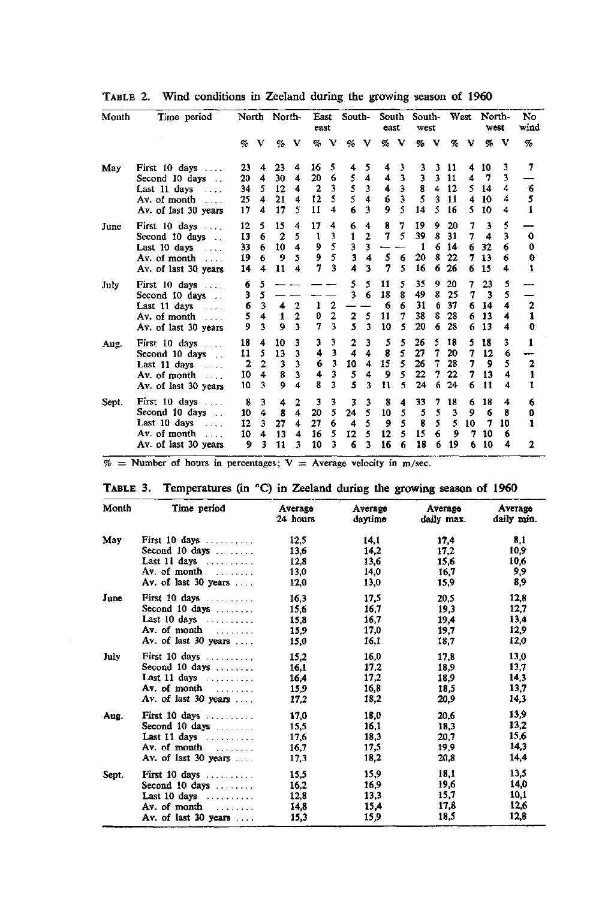|  |  | TABLE 2. Wind conditions in Zeeland during the growing season of 1960 |  |  |  |  |  |  |  |  |  |
|--|--|-----------------------------------------------------------------------|--|--|--|--|--|--|--|--|--|
|--|--|-----------------------------------------------------------------------|--|--|--|--|--|--|--|--|--|

| Month | Time period                                       | North |                | North-               |                         | <b>Last</b><br>east  |                         | South-       |                  | South<br>east |                         | South-<br>west |   |                         | West | North-<br>west |    | No<br>wind     |
|-------|---------------------------------------------------|-------|----------------|----------------------|-------------------------|----------------------|-------------------------|--------------|------------------|---------------|-------------------------|----------------|---|-------------------------|------|----------------|----|----------------|
|       |                                                   | %     | v              | %                    | v                       | %                    | v                       | %            | v                | %             | -V                      | %              | v | %                       | v    | %              | v  | %              |
| May   | First 10 days                                     | 23    | 4              | 23                   | 4                       | 16                   | 5                       | 4            | 5                | 4             | 3                       | 3              | 3 | 11                      | 4    | 10             | 3  | 7              |
|       | Second 10 days                                    | 20    | 4              | 30                   | 4                       | 20                   | 6                       | 5            | 4                | 4             | $\overline{\mathbf{3}}$ | 3              | 3 | 11                      | 4    | 7              | 3  |                |
|       | Last 11 days<br>$\sim$ $\sim$ $\sim$              | 34    | 5              | 12                   | 4                       | $\overline{2}$       | 3                       | 5            | 3                | 4             | $\overline{\mathbf{3}}$ | 8              | 4 | 12                      | 5    | 14             | 4  | 6              |
|       | Av. of month<br>$\sim$                            | 25    | 4              | 21                   | $\boldsymbol{4}$        | 12                   | 5                       | 5            | 4                | 6             | 3                       | 5              | 3 | 11                      | 4    | 10             | 4  | 5              |
|       | Av. of last 30 years                              | 17    | 4              | 17                   | 5                       | 11                   | 4                       | 6            | 3                | 9             | 5                       | 14             | 5 | 16                      | 5    | 10             | 4  | $\mathbf{1}$   |
| June  | First 10 days                                     | 12    | 5              | 15                   | 4                       | 17                   | 4                       | 6            | 4                | 8             | 7                       | 19             | 9 | 20                      | 7    | 3              | 5  |                |
|       | Second 10 days                                    | 13    | 6              | $\overline{2}$       | 5                       | 1                    | 3                       | $\mathbf{1}$ | $\overline{2}$   | 7             | 5                       | 39             | 8 | 31                      | 7    | 4              | 3  | 0              |
|       | Last $10 \text{ days}$                            | 33    | 6              | 10                   | 4                       | 9                    | 5                       | 3            | 3                |               |                         | 1              | 6 | 14                      | 6    | 32             | 6  | 0              |
|       | Av. of month                                      | 19    | 6              | 9                    | 5                       | 9                    | 5                       | 3            | 4                | 5             | 6                       | 20             | 8 | 22                      | 7    | 13             | 6  | 0              |
|       | Av. of last 30 years                              | 14    | 4              | 11                   | $\overline{\mathbf{4}}$ | 7                    | 3                       | 4            | 3                | 7             | 5                       | 16             | 6 | 26                      | 6    | 15             | 4  |                |
| July  | First $10 \text{ days} \dots$                     | 6     | 5              |                      |                         |                      |                         | 5            | 5                | 11            | 5                       | 35             | 9 | 20                      | 7    | 23             | 5  |                |
|       | Second 10 days                                    | 3     | 5              |                      |                         |                      |                         | 3            | 6                | 18            | 8                       | 49             | 8 | 25                      | 7    | 3              | 5  |                |
|       | Last 11 days<br>$\lambda$ , $\lambda$ , $\lambda$ | 6     | 3              | $\blacktriangleleft$ | $\overline{2}$          | 1                    | $\mathbf{2}$            |              |                  | 6             | 6                       | 31             | 6 | 37                      | 6    | 14             | 4  | $\mathbf{2}$   |
|       | Av. of month $\ldots$                             | 5     | 4              | $\mathbf{1}$         | $\overline{2}$          | 0                    | $\overline{\mathbf{c}}$ | $\mathbf{z}$ | 5                | 11            | 7                       | 38             | 8 | 28                      | 6    | 13             | 4  | 1              |
|       | Av. of last 30 years                              | 9     | 3              | $\boldsymbol{Q}$     | 3                       | $\overline{7}$       | 3                       | 5            | 3                | 10            | 5                       | 20             | 6 | 28                      |      | 13             | 4  | 0              |
| Aug.  | First $10 \text{ days}$                           | 18    | 4              | 10                   | 3                       | 3                    | 3                       | 2            | 3                | 5             | 5                       | 26             | 5 | 18                      | 5    | 18             | 3  | 1              |
|       | Second 10 days<br>$\cdots$                        | 11    | 5              | 13                   | $\mathbf{3}$            | $\ddot{\phantom{1}}$ | 3                       | 4            | $\boldsymbol{4}$ | 8             | 5                       | 27             | 7 | 20                      | 7    | 12             | 6  |                |
|       | Last 11 days                                      | 2     | $\overline{2}$ | 3                    | 3                       | 6                    | 3                       | 10           | 4                | 15            | 5                       | 26             | 7 | 28                      | 7    | 9              | 5  | $\overline{2}$ |
|       | Av. of month<br>$\sim$ $\sim$ $\sim$              | 10    | 4              | 8                    | 3                       | 4                    | 3                       | 5            | 4                | 9             | 5                       | 22             | 7 | 22                      | 7    | 13             | 4  | 1              |
|       | Av. of last 30 years                              | 10    | 3              | 9                    | 4                       | 8                    | 3                       | 5            | 3                | 11            | 5                       | 24             | 6 | 24                      | 6    | 11             | 4  | 1              |
| Sept. | First $10 \text{ days}$                           | 8     | 3              | 4                    | 2                       | 3                    | 3                       | 3            | 3                | 8             | 4                       | 33             | 7 | 18                      | 6    | 18             | 4  | 6              |
|       | Second 10 days                                    | 10    | $\ddot{4}$     | 8                    | $\overline{\mathbf{4}}$ | 20                   | 5                       | 24           | 5                | 10            | 5                       | 5              | 5 | $\overline{\mathbf{3}}$ | 9    | 6              | 8  | 0              |
|       | Last 10 days<br>$\cdots$                          | 12    | 3              | 27                   | 4                       | 27                   | 6                       | 4            | 5                | 9             | 5                       | 8              | 5 | 5                       | 10   | 7              | 10 | 1              |
|       | Av. of month<br>$\cdots$                          | 10    | 4              | 13                   | $\boldsymbol{4}$        | 16                   | 5                       | 12           | 5                | 12            | 5                       | 15             | 6 | 9                       | 7    | 10             | 6  |                |
|       | Av. of last 30 years                              | 9     | 3              | 11                   | 3                       | 10                   | 3                       | 6            | 3                | 16            | 6                       | 18             | 6 | 19                      | 6    | 10             | 4  | $\mathbf{2}$   |

 $\%$  = Number of hours in percentages; V = Average velocity in m/sec.

| TABLE 3. Temperatures (in °C) in Zeeland during the growing season of 1960 |  |  |  |  |
|----------------------------------------------------------------------------|--|--|--|--|
|                                                                            |  |  |  |  |

| Month | Time period                   | Average<br>24 hours | Average<br>daytimo | Аусгадо<br>daily max. | Average<br>daily min. |
|-------|-------------------------------|---------------------|--------------------|-----------------------|-----------------------|
| May   | First 10 days $\ldots$        | 12.5                | 14.1               | 17,4                  | 8.1                   |
|       | Second 10 days $\dots$        | 13.6                | 14.2               | 17.2                  | 10,9                  |
|       | Last 11 days $\ldots$         | 12.8                | 13.6               | 15.6                  | 10,6                  |
|       | Av. of month $\ldots$         | 13,0                | 14,0               | 16,7                  | 9,9                   |
|       | Av. of last 30 years          | 12.0                | 13.0               | 15,9                  | 8,9                   |
| June  | First 10 days $\ldots \ldots$ | 16,3                | 17.5               | 20,5                  | 12,8                  |
|       | Second 10 days $\dots \dots$  | 15,6                | 16.7               | 19,3                  | 12,7                  |
|       | Last 10 days $\ldots$ ,       | 15.8                | 16.7               | 19,4                  | 13,4                  |
|       | Av. of month $\ldots$         | 15,9                | 17.0               | 19,7                  | 12,9                  |
|       | Av. of last 30 years          | 15,0                | 16.1               | 18.7                  | 12,0                  |
| July  | First 10 days $\ldots$        | 15,2                | 16.0               | 17,8                  | 13,0                  |
|       | Second 10 days $\dots$        | 16,1                | 17.2               | 18.9                  | 13,7                  |
|       | Last 11 days $\ldots$         | 16.4                | 17.2               | 18.9                  | 14.3                  |
|       | Av. of month                  | 15,9                | 16,8               | 18,5                  | 13,7                  |
|       | Av. of last 30 years          | 17.2                | 18,2               | 20.9                  | 14,3                  |
| Aug.  | First 10 days                 | 17,0                | 18,0               | 20,6                  | 13,9                  |
|       | Second 10 days                | 15,5                | 16.1               | 18,3                  | 13,2                  |
|       | Last 11 days $\ldots$ ,       | 17,6                | 18.3               | 20.7                  | 15,6                  |
|       | Av. of month $\dots$          | 16,7                | 17.5               | 19,9                  | 14.3                  |
|       | Av. of last 30 years          | 17.3                | 18.2               | 20,8                  | 14,4                  |
| Sept. | First 10 days                 | 15,5                | 15.9               | 18,1                  | 13,5                  |
|       | Second 10 days                | 16,2                | 16,9               | 19,6                  | 14,0                  |
|       | Last 10 days $\dots \dots$    | 12,8                | 13.3               | 15.7                  | 10.1                  |
|       | Av. of month $\ldots$         | 14,8                | 15,4               | 17,8                  | 12,6                  |
|       | Av. of last 30 years          | 15,3                | 159                | 18,5                  | 12,8                  |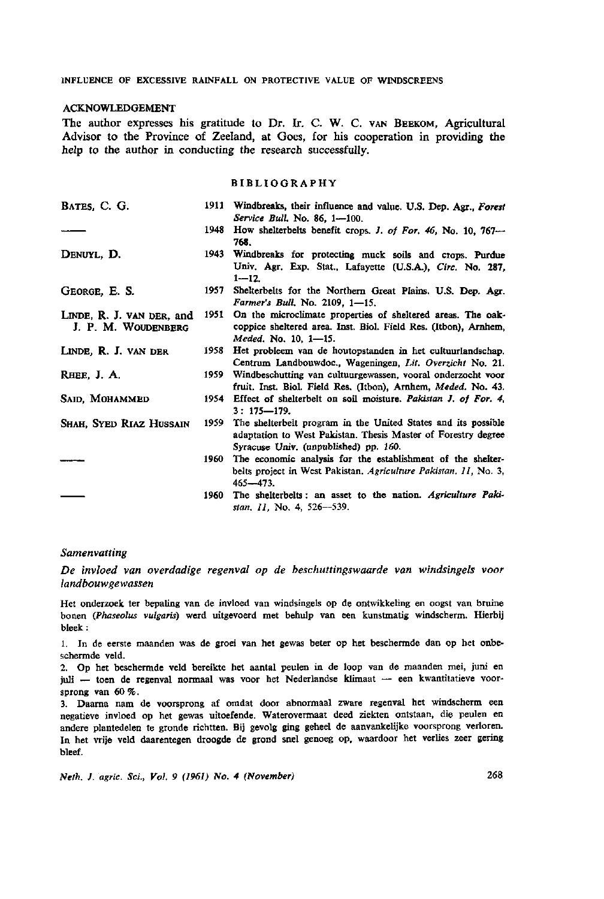#### ACKNOWLEDGEMENT

The author expresses his gratitude to Dr. Ir. C. W. C. VAN BEEKOM, Agricultural Advisor to the Province of Zeeland, at Goes, for his cooperation in providing the help to the author in conducting the research successfully.

#### **BIBLIOGRAPHY**

| BATES, C. G.                                     | 1911 | Windbreaks, their influence and value. U.S. Dep. Agr., Forest<br>Service Bull. No. 86, 1-100.                                                                           |
|--------------------------------------------------|------|-------------------------------------------------------------------------------------------------------------------------------------------------------------------------|
|                                                  | 1948 | How shelterbelts benefit crops. J. of For. 46, No. 10, 767-<br>768.                                                                                                     |
| DENUYL, D.                                       | 1943 | Windbreaks for protecting muck soils and crops. Purdue<br>Univ. Agr. Exp. Stat., Lafayette (U.S.A.), Circ. No. 287,<br>$1 - 12.$                                        |
| GEORGE, E. S.                                    | 1957 | Shelterbelts for the Northern Great Plains. U.S. Dep. Agr.<br>Farmer's Bull. No. 2109, 1-15.                                                                            |
| LINDE, R. J. VAN DER, and<br>J. P. M. WOUDENBERG | 1951 | On the microclimate properties of sheltered areas. The oak-<br>coppice sheltered area. Inst. Biol. Field Res. (Itbon), Arnhem,<br>Meded. No. 10, 1-15.                  |
| LINDE, R. J. VAN DER                             | 1958 | Het probleem van de houtopstanden in het cultuurlandschap.<br>Centrum Landbouwdoc., Wageningen, Lit. Overzicht No. 21.                                                  |
| RHEE, J. A.                                      | 1959 | Windbeschutting van cultuurgewassen, vooral onderzocht voor<br>fruit. Inst. Biol. Field Res. (Itbon), Arnhem, Meded. No. 43.                                            |
| SAID, MOHAMMED                                   |      | 1954 Effect of shelterbelt on soil moisture. Pakistan J. of For. 4.<br>$3:175 - 179.$                                                                                   |
| Shah, Syed Riaz Hussain                          | 1959 | The shelterbelt program in the United States and its possible<br>adaptation to West Pakistan. Thesis Master of Forestry degree<br>Syracuse Univ. (unpublished) pp. 160. |
|                                                  | 1960 | The economic analysis for the establishment of the shelter-<br>belts project in West Pakistan, Agriculture Pakistan, 11, No. 3,<br>$465 - 473.$                         |
|                                                  | 1960 | The shelterbelts: an asset to the nation. Agriculture Paki-<br>stan. 11, No. 4, 526-539.                                                                                |

#### *Samenvatting*

*De invloed van overdadige regenval op de beschuttingswaarde van windsingels voor landbouwgewassen* 

Het onderzoek ter bepaling van de invloed van windsingels op de ontwikkeling en oogst van bruine bonen *(Phaseolus vulgaris)* werd uitgevoerd met behulp van een kunstmatig windscherm. Hierbij bleek :

1. In de eerste maanden was de groei van het gewas beter op het beschermde dan op het onbeschermde veld.

2. Op het beschermde veld bereikte het aantal peulen in de loop van de maanden mei, juni en juli — toen de regenval normaal was voor het Nederlandse klimaat — een kwantitatieve voorsprong van 60 %.

3. Daarna nam de voorsprong af omdat door abnormaal zware regenval het windscherm een negatieve invloed op het gewas uitoefende. Waterovermaat deed ziekten ontstaan, die peulen en andere plantedelen te gronde richtten. Bij gevolg ging geheel de aanvankelijke voorsprong verloren. In het vrije veld daarentegen droogde de grond snel genoeg op, waardoor het verlies zeer gering bleef.